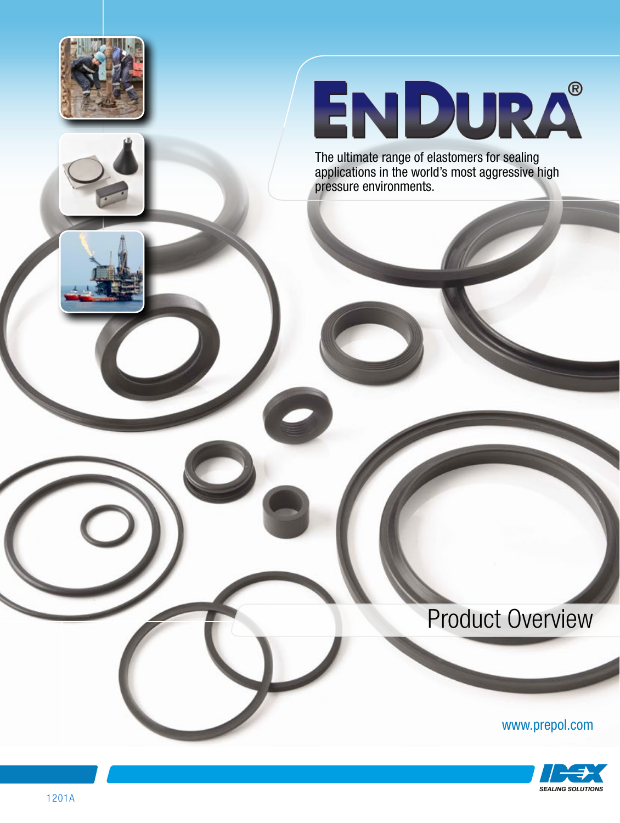

# ENDURA®

The ultimate range of elastomers for sealing applications in the world's most aggressive high pressure environments.

# Product Overview

www.prepol.com

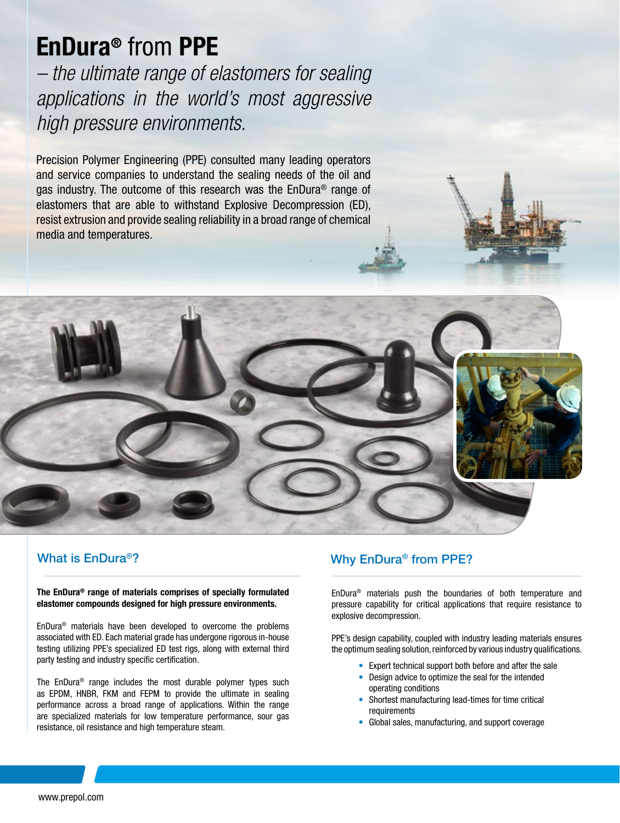# EnDura® from PPE

*– the ultimate range of elastomers for sealing applications in the world's most aggressive high pressure environments.*

Precision Polymer Engineering (PPE) consulted many leading operators and service companies to understand the sealing needs of the oil and gas industry. The outcome of this research was the EnDura® range of elastomers that are able to withstand Explosive Decompression (ED), resist extrusion and provide sealing reliability in a broad range of chemical media and temperatures.



## What is EnDura®?

The EnDura® range of materials comprises of specially formulated elastomer compounds designed for high pressure environments.

EnDura® materials have been developed to overcome the problems associated with ED. Each material grade has undergone rigorous in-house testing utilizing PPE's specialized ED test rigs, along with external third party testing and industry specific certification.

The EnDura® range includes the most durable polymer types such as EPDM, HNBR, FKM and FEPM to provide the ultimate in sealing performance across a broad range of applications. Within the range are specialized materials for low temperature performance, sour gas resistance, oil resistance and high temperature steam.

# Why EnDura® from PPE?

EnDura® materials push the boundaries of both temperature and pressure capability for critical applications that require resistance to explosive decompression.

PPE's design capability, coupled with industry leading materials ensures the optimum sealing solution, reinforced by various industry qualifications.

- Expert technical support both before and after the sale
- Design advice to optimize the seal for the intended operating conditions
- Shortest manufacturing lead-times for time critical requirements
- Global sales, manufacturing, and support coverage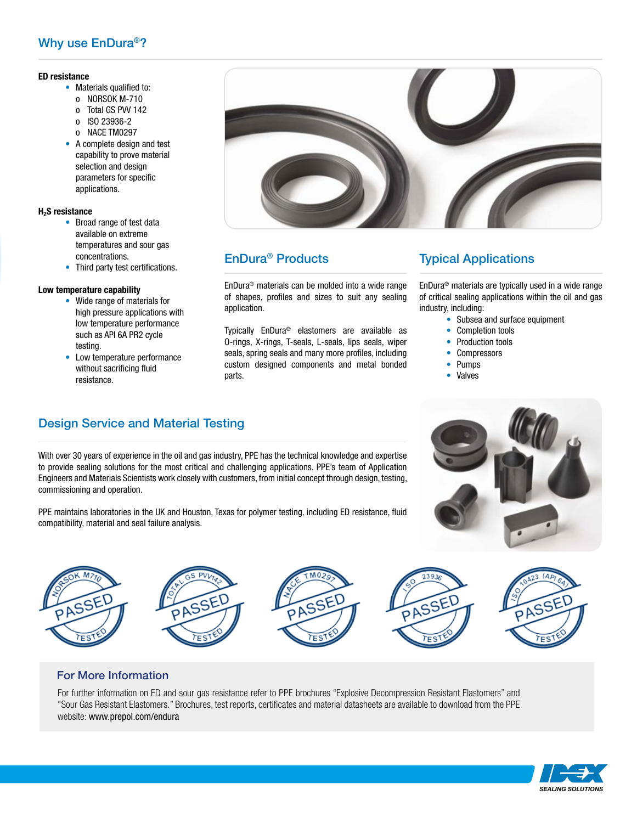## Why use EnDura®?

#### ED resistance

- Materials qualified to:
	- o NORSOK M-710
	- o Total GS PVV 142
	- o ISO 23936-2
	- o NACE TM0297
- A complete design and test capability to prove material selection and design parameters for specific applications.

#### H2S resistance

- Broad range of test data available on extreme temperatures and sour gas concentrations.
- Third party test certifications.

#### Low temperature capability

- Wide range of materials for high pressure applications with low temperature performance such as API 6A PR2 cycle testing.
- Low temperature performance without sacrificing fluid resistance.



# EnDura® Products

EnDura® materials can be molded into a wide range of shapes, profiles and sizes to suit any sealing application.

Typically EnDura® elastomers are available as O-rings, X-rings, T-seals, L-seals, lips seals, wiper seals, spring seals and many more profiles, including custom designed components and metal bonded parts.

## Typical Applications

EnDura® materials are typically used in a wide range of critical sealing applications within the oil and gas industry, including:

- Subsea and surface equipment
- Completion tools
- Production tools
- Compressors
- Pumps
- **Valves**

# Design Service and Material Testing

With over 30 years of experience in the oil and gas industry, PPE has the technical knowledge and expertise to provide sealing solutions for the most critical and challenging applications. PPE's team of Application Engineers and Materials Scientists work closely with customers, from initial concept through design, testing, commissioning and operation.

PPE maintains laboratories in the UK and Houston, Texas for polymer testing, including ED resistance, fluid compatibility, material and seal failure analysis.





### For More Information

For further information on ED and sour gas resistance refer to PPE brochures "Explosive Decompression Resistant Elastomers" and "Sour Gas Resistant Elastomers." Brochures, test reports, certificates and material datasheets are available to download from the PPE website: www.prepol.com/endura